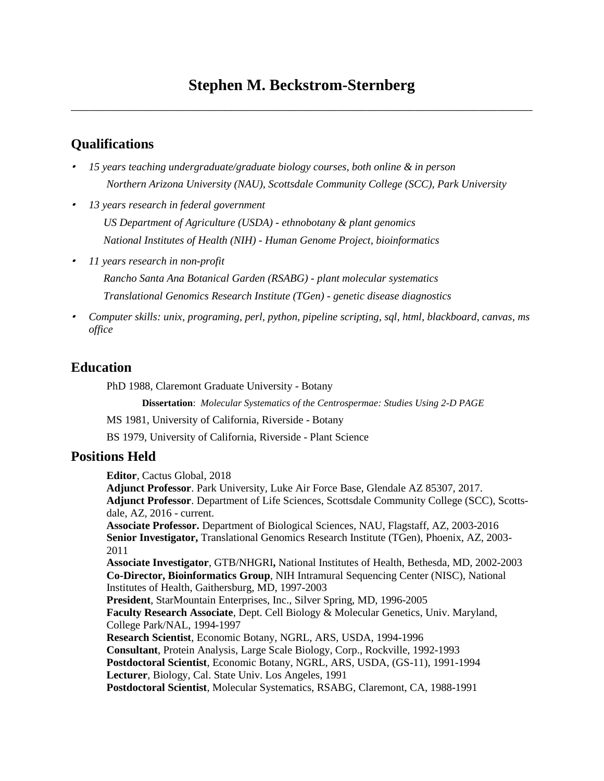\_\_\_\_\_\_\_\_\_\_\_\_\_\_\_\_\_\_\_\_\_\_\_\_\_\_\_\_\_\_\_\_\_\_\_\_\_\_\_\_\_\_\_\_\_\_\_\_\_\_\_\_\_\_\_\_\_\_\_\_\_\_\_\_\_\_\_\_\_\_\_\_\_\_\_\_\_\_

# **Qualifications**

- *15 years teaching undergraduate/graduate biology courses, both online & in person Northern Arizona University (NAU), Scottsdale Community College (SCC), Park University*
- *13 years research in federal government US Department of Agriculture (USDA) - ethnobotany & plant genomics National Institutes of Health (NIH) - Human Genome Project, bioinformatics*
- •*11 years research in non-profit*

*Rancho Santa Ana Botanical Garden (RSABG) - plant molecular systematics Translational Genomics Research Institute (TGen) - genetic disease diagnostics*

• *Computer skills: unix, programing, perl, python, pipeline scripting, sql, html, blackboard, canvas, ms office*

## **Education**

PhD 1988, Claremont Graduate University - Botany

**Dissertation**: *Molecular Systematics of the Centrospermae: Studies Using 2-D PAGE*

MS 1981, University of California, Riverside - Botany

BS 1979, University of California, Riverside - Plant Science

## **Positions Held**

**Editor**, Cactus Global, 2018

**Adjunct Professor**. Park University, Luke Air Force Base, Glendale AZ 85307, 2017. **Adjunct Professor**. Department of Life Sciences, Scottsdale Community College (SCC), Scottsdale, AZ, 2016 - current.

**Associate Professor.** Department of Biological Sciences, NAU, Flagstaff, AZ, 2003-2016 **Senior Investigator,** Translational Genomics Research Institute (TGen), Phoenix, AZ, 2003- 2011

**Associate Investigator**, GTB/NHGRI**,** National Institutes of Health, Bethesda, MD, 2002-2003 **Co-Director, Bioinformatics Group**, NIH Intramural Sequencing Center (NISC), National Institutes of Health, Gaithersburg, MD, 1997-2003

**President**, StarMountain Enterprises, Inc., Silver Spring, MD, 1996-2005 **Faculty Research Associate**, Dept. Cell Biology & Molecular Genetics, Univ. Maryland, College Park/NAL, 1994-1997

**Research Scientist**, Economic Botany, NGRL, ARS, USDA, 1994-1996

**Consultant**, Protein Analysis, Large Scale Biology, Corp., Rockville, 1992-1993

**Postdoctoral Scientist**, Economic Botany, NGRL, ARS, USDA, (GS-11), 1991-1994 **Lecturer**, Biology, Cal. State Univ. Los Angeles, 1991

**Postdoctoral Scientist**, Molecular Systematics, RSABG, Claremont, CA, 1988-1991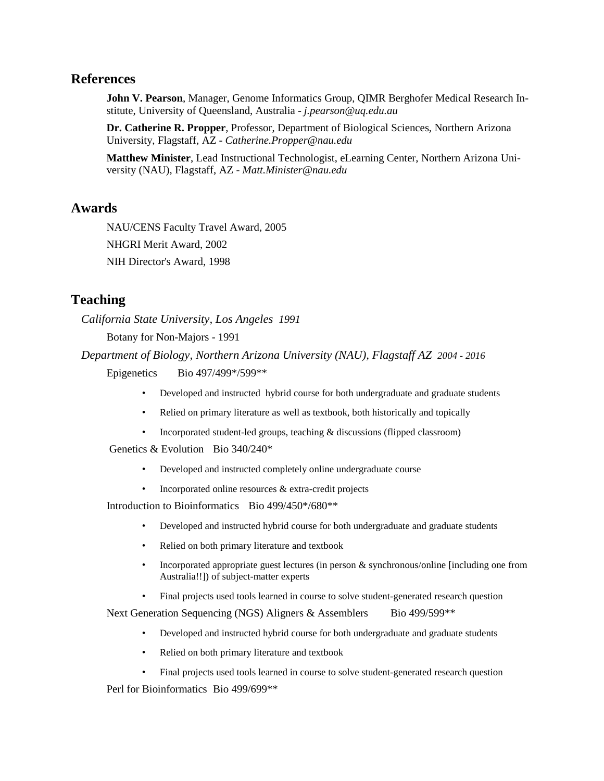#### **References**

**John V. Pearson**, Manager, Genome Informatics Group, QIMR Berghofer Medical Research Institute, University of Queensland, Australia - *j.pearson@uq.edu.au*

**Dr. Catherine R. Propper**, Professor, Department of Biological Sciences, Northern Arizona University, Flagstaff, AZ - *Catherine.Propper@nau.edu*

**Matthew Minister**, Lead Instructional Technologist, eLearning Center, Northern Arizona University (NAU), Flagstaff, AZ - *Matt.Minister@nau.edu*

#### **Awards**

NAU/CENS Faculty Travel Award, 2005 NHGRI Merit Award, 2002 NIH Director's Award, 1998

## **Teaching**

*California State University, Los Angeles 1991*

Botany for Non-Majors - 1991

*Department of Biology, Northern Arizona University (NAU), Flagstaff AZ 2004 - 2016*

Epigenetics Bio 497/499\*/599\*\*

- Developed and instructed hybrid course for both undergraduate and graduate students
- Relied on primary literature as well as textbook, both historically and topically
- Incorporated student-led groups, teaching  $&$  discussions (flipped classroom)

Genetics & Evolution Bio 340/240\*

- Developed and instructed completely online undergraduate course
- Incorporated online resources  $&$  extra-credit projects

Introduction to Bioinformatics Bio 499/450\*/680\*\*

- Developed and instructed hybrid course for both undergraduate and graduate students
- Relied on both primary literature and textbook
- Incorporated appropriate guest lectures (in person & synchronous/online [including one from Australia!!]) of subject-matter experts
- Final projects used tools learned in course to solve student-generated research question

Next Generation Sequencing (NGS) Aligners & Assemblers Bio 499/599\*\*

- Developed and instructed hybrid course for both undergraduate and graduate students
- Relied on both primary literature and textbook
- Final projects used tools learned in course to solve student-generated research question

Perl for Bioinformatics Bio 499/699\*\*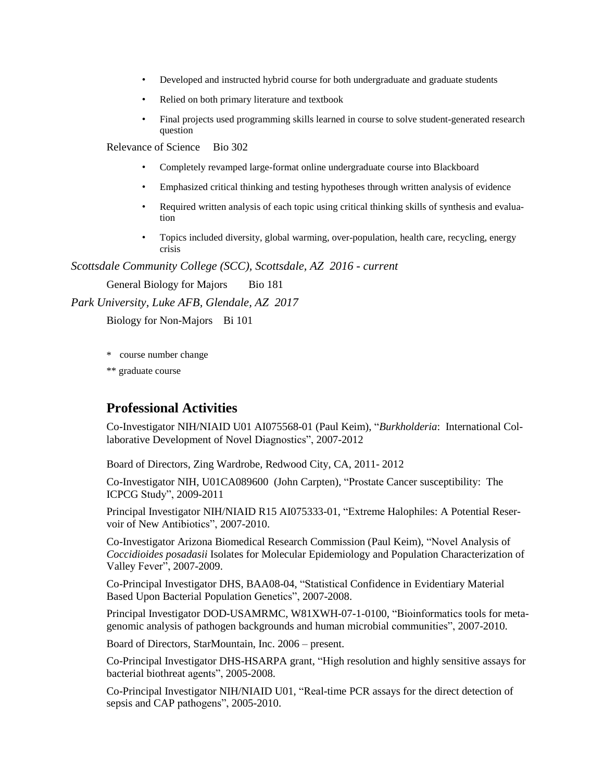- Developed and instructed hybrid course for both undergraduate and graduate students
- Relied on both primary literature and textbook
- Final projects used programming skills learned in course to solve student-generated research question

Relevance of Science Bio 302

- Completely revamped large-format online undergraduate course into Blackboard
- Emphasized critical thinking and testing hypotheses through written analysis of evidence
- Required written analysis of each topic using critical thinking skills of synthesis and evaluation
- Topics included diversity, global warming, over-population, health care, recycling, energy crisis

*Scottsdale Community College (SCC), Scottsdale, AZ 2016 - current*

General Biology for Majors Bio 181

*Park University, Luke AFB, Glendale, AZ 2017*

Biology for Non-Majors Bi 101

\* course number change

\*\* graduate course

## **Professional Activities**

Co-Investigator NIH/NIAID U01 AI075568-01 (Paul Keim), "*Burkholderia*: International Collaborative Development of Novel Diagnostics", 2007-2012

Board of Directors, Zing Wardrobe, Redwood City, CA, 2011- 2012

Co-Investigator NIH, U01CA089600 (John Carpten), "Prostate Cancer susceptibility: The ICPCG Study", 2009-2011

Principal Investigator NIH/NIAID R15 AI075333-01, "Extreme Halophiles: A Potential Reservoir of New Antibiotics", 2007-2010.

Co-Investigator Arizona Biomedical Research Commission (Paul Keim), "Novel Analysis of *Coccidioides posadasii* Isolates for Molecular Epidemiology and Population Characterization of Valley Fever", 2007-2009.

Co-Principal Investigator DHS, BAA08-04, "Statistical Confidence in Evidentiary Material Based Upon Bacterial Population Genetics", 2007-2008.

Principal Investigator DOD-USAMRMC, W81XWH-07-1-0100, "Bioinformatics tools for metagenomic analysis of pathogen backgrounds and human microbial communities", 2007-2010.

Board of Directors, StarMountain, Inc. 2006 – present.

Co-Principal Investigator DHS-HSARPA grant, "High resolution and highly sensitive assays for bacterial biothreat agents", 2005-2008.

Co-Principal Investigator NIH/NIAID U01, "Real-time PCR assays for the direct detection of sepsis and CAP pathogens", 2005-2010.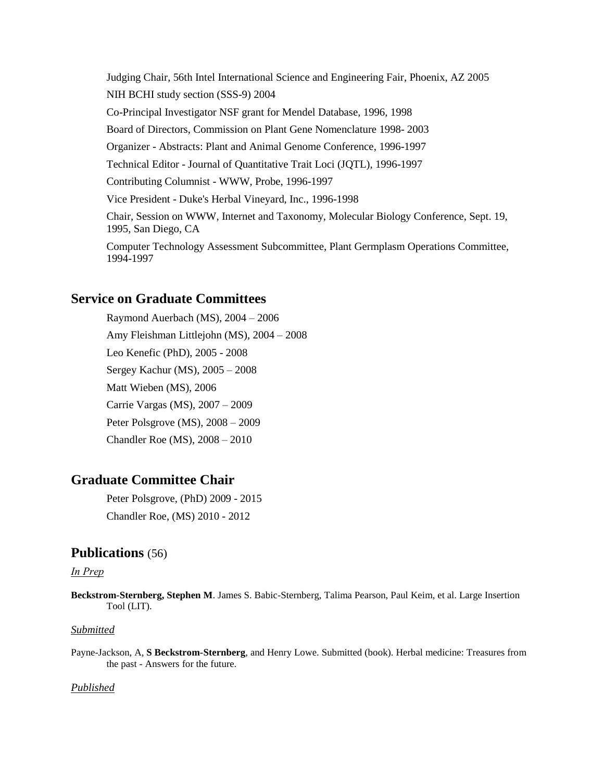Judging Chair, 56th Intel International Science and Engineering Fair, Phoenix, AZ 2005 NIH BCHI study section (SSS-9) 2004 Co-Principal Investigator NSF grant for Mendel Database, 1996, 1998 Board of Directors, Commission on Plant Gene Nomenclature 1998- 2003 Organizer - Abstracts: Plant and Animal Genome Conference, 1996-1997 Technical Editor - Journal of Quantitative Trait Loci (JQTL), 1996-1997 Contributing Columnist - WWW, Probe, 1996-1997 Vice President - Duke's Herbal Vineyard, Inc., 1996-1998 Chair, Session on WWW, Internet and Taxonomy, Molecular Biology Conference, Sept. 19, 1995, San Diego, CA

Computer Technology Assessment Subcommittee, Plant Germplasm Operations Committee, 1994-1997

## **Service on Graduate Committees**

Raymond Auerbach (MS), 2004 – 2006 Amy Fleishman Littlejohn (MS), 2004 – 2008 Leo Kenefic (PhD), 2005 - 2008 Sergey Kachur (MS), 2005 – 2008 Matt Wieben (MS), 2006 Carrie Vargas (MS), 2007 – 2009 Peter Polsgrove (MS), 2008 – 2009 Chandler Roe (MS), 2008 – 2010

# **Graduate Committee Chair**

Peter Polsgrove, (PhD) 2009 - 2015 Chandler Roe, (MS) 2010 - 2012

#### **Publications** (56)

#### *In Prep*

**Beckstrom-Sternberg, Stephen M**. James S. Babic-Sternberg, Talima Pearson, Paul Keim, et al. Large Insertion Tool (LIT).

#### *Submitted*

Payne-Jackson, A, **S Beckstrom-Sternberg**, and Henry Lowe. Submitted (book). Herbal medicine: Treasures from the past - Answers for the future.

#### *Published*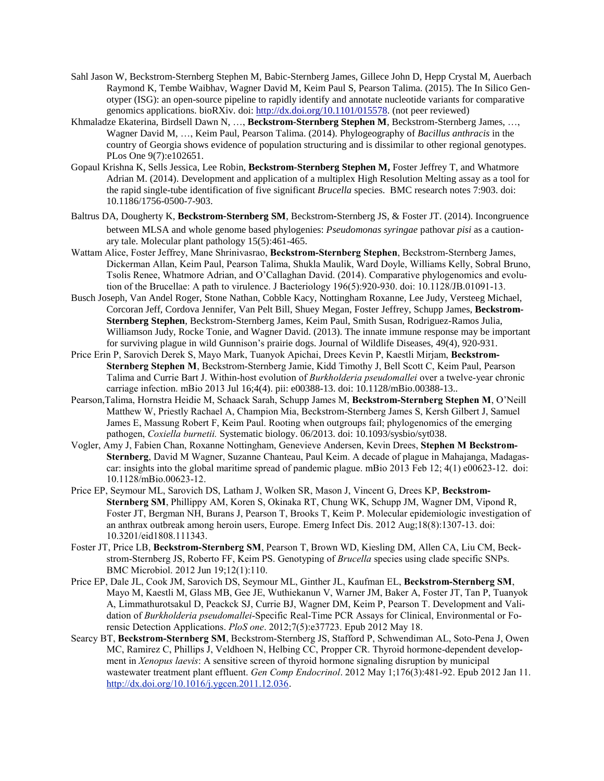- Sahl Jason W, Beckstrom-Sternberg Stephen M, Babic-Sternberg James, Gillece John D, Hepp Crystal M, Auerbach Raymond K, Tembe Waibhav, Wagner David M, Keim Paul S, Pearson Talima. (2015). The In Silico Genotyper (ISG): an open-source pipeline to rapidly identify and annotate nucleotide variants for comparative genomics applications. bioRXiv. doi: [http://dx.doi.org/10.1101/015578.](http://dx.doi.org/10.1101/015578) (not peer reviewed)
- Khmaladze Ekaterina, Birdsell Dawn N, …, **Beckstrom-Sternberg Stephen M**, Beckstrom-Sternberg James, …, Wagner David M, …, Keim Paul, Pearson Talima. (2014). Phylogeography of *Bacillus anthracis* in the country of Georgia shows evidence of population structuring and is dissimilar to other regional genotypes. PLos One 9(7):e102651.
- Gopaul Krishna K, Sells Jessica, Lee Robin, **Beckstrom-Sternberg Stephen M,** Foster Jeffrey T, and Whatmore Adrian M. (2014). Development and application of a multiplex High Resolution Melting assay as a tool for the rapid single-tube identification of five significant *Brucella* species. BMC research notes 7:903. doi: 10.1186/1756-0500-7-903.
- Baltrus DA, Dougherty K, **Beckstrom**‐**Sternberg SM**, Beckstrom‐Sternberg JS, & Foster JT. (2014). Incongruence between MLSA and whole genome based phylogenies: *Pseudomonas syringae* pathovar *pisi* as a cautionary tale. Molecular plant pathology 15(5):461-465.
- Wattam Alice, Foster Jeffrey, Mane Shrinivasrao, **Beckstrom-Sternberg Stephen**, Beckstrom-Sternberg James, Dickerman Allan, Keim Paul, Pearson Talima, Shukla Maulik, Ward Doyle, Williams Kelly, Sobral Bruno, Tsolis Renee, Whatmore Adrian, and O'Callaghan David. (2014). Comparative phylogenomics and evolution of the Brucellae: A path to virulence. J Bacteriology 196(5):920-930. doi: 10.1128/JB.01091-13.
- Busch Joseph, Van Andel Roger, Stone Nathan, Cobble Kacy, Nottingham Roxanne, Lee Judy, Versteeg Michael, Corcoran Jeff, Cordova Jennifer, Van Pelt Bill, Shuey Megan, Foster Jeffrey, Schupp James, **Beckstrom-Sternberg Stephen**, Beckstrom-Sternberg James, Keim Paul, Smith Susan, Rodriguez-Ramos Julia, Williamson Judy, Rocke Tonie, and Wagner David. (2013). The innate immune response may be important for surviving plague in wild Gunnison's prairie dogs. Journal of Wildlife Diseases, 49(4), 920-931.
- Price Erin P, Sarovich Derek S, Mayo Mark, Tuanyok Apichai, Drees Kevin P, Kaestli Mirjam, **Beckstrom-Sternberg Stephen M**, Beckstrom-Sternberg Jamie, Kidd Timothy J, Bell Scott C, Keim Paul, Pearson Talima and Currie Bart J. Within-host evolution of *Burkholderia pseudomallei* over a twelve-year chronic carriage infection. mBio 2013 Jul 16;4(4). pii: e00388-13. doi: 10.1128/mBio.00388-13..
- Pearson,Talima, Hornstra Heidie M, Schaack Sarah, Schupp James M, **Beckstrom-Sternberg Stephen M**, O'Neill Matthew W, Priestly Rachael A, Champion Mia, Beckstrom-Sternberg James S, Kersh Gilbert J, Samuel James E, Massung Robert F, Keim Paul. Rooting when outgroups fail; phylogenomics of the emerging pathogen, *Coxiella burnetii.* Systematic biology. 06/2013. doi: 10.1093/sysbio/syt038.
- Vogler, Amy J, Fabien Chan, Roxanne Nottingham, Genevieve Andersen, Kevin Drees, **Stephen M Beckstrom-Sternberg**, David M Wagner, Suzanne Chanteau, Paul Keim. A decade of plague in Mahajanga, Madagascar: insights into the global maritime spread of pandemic plague. mBio 2013 Feb 12; 4(1) e00623-12. doi: 10.1128/mBio.00623-12.
- Price EP, Seymour ML, Sarovich DS, Latham J, Wolken SR, Mason J, Vincent G, Drees KP, **Beckstrom-Sternberg SM**, Phillippy AM, Koren S, Okinaka RT, Chung WK, Schupp JM, Wagner DM, Vipond R, Foster JT, Bergman NH, Burans J, Pearson T, Brooks T, Keim P. Molecular epidemiologic investigation of an anthrax outbreak among heroin users, Europe. Emerg Infect Dis. 2012 Aug;18(8):1307-13. doi: 10.3201/eid1808.111343.
- Foster JT, Price LB, **Beckstrom-Sternberg SM**, Pearson T, Brown WD, Kiesling DM, Allen CA, Liu CM, Beckstrom-Sternberg JS, Roberto FF, Keim PS. Genotyping of *Brucella* species using clade specific SNPs. BMC Microbiol. 2012 Jun 19;12(1):110.
- Price EP, Dale JL, Cook JM, Sarovich DS, Seymour ML, Ginther JL, Kaufman EL, **Beckstrom-Sternberg SM**, Mayo M, Kaestli M, Glass MB, Gee JE, Wuthiekanun V, Warner JM, Baker A, Foster JT, Tan P, Tuanyok A, Limmathurotsakul D, Peackck SJ, Currie BJ, Wagner DM, Keim P, Pearson T. Development and Validation of *Burkholderia pseudomallei*-Specific Real-Time PCR Assays for Clinical, Environmental or Forensic Detection Applications. *PloS one*. 2012;7(5):e37723. Epub 2012 May 18.
- Searcy BT, **Beckstrom-Sternberg SM**, Beckstrom-Sternberg JS, Stafford P, Schwendiman AL, Soto-Pena J, Owen MC, Ramirez C, Phillips J, Veldhoen N, Helbing CC, Propper CR. Thyroid hormone-dependent development in *Xenopus laevis*: A sensitive screen of thyroid hormone signaling disruption by municipal wastewater treatment plant effluent. *Gen Comp Endocrinol*. 2012 May 1;176(3):481-92. Epub 2012 Jan 11. <http://dx.doi.org/10.1016/j.ygcen.2011.12.036>.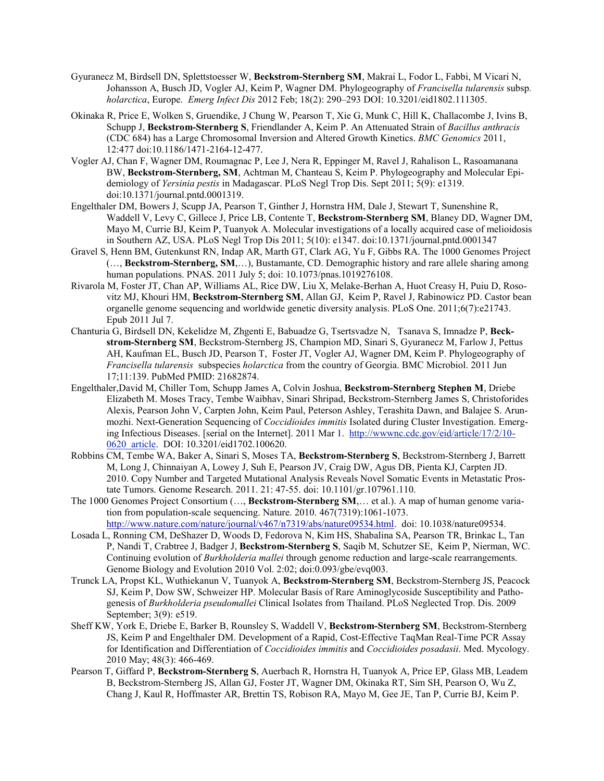- Gyuranecz M, Birdsell DN, Splettstoesser W, **Beckstrom-Sternberg SM**, Makrai L, Fodor L, Fabbi, M Vicari N, Johansson A, Busch JD, Vogler AJ, Keim P, Wagner DM. Phylogeography of *Francisella tularensis* subsp*. holarctica*, Europe. *Emerg Infect Dis* 2012 Feb; 18(2): 290–293 DOI: 10.3201/eid1802.111305.
- Okinaka R, Price E, Wolken S, Gruendike, J Chung W, Pearson T, Xie G, Munk C, Hill K, Challacombe J, Ivins B, Schupp J, **Beckstrom-Sternberg S**, Friendlander A, Keim P. An Attenuated Strain of *Bacillus anthracis* (CDC 684) has a Large Chromosomal Inversion and Altered Growth Kinetics. *BMC Genomics* 2011, 12:477 doi:10.1186/1471-2164-12-477.
- Vogler AJ, Chan F, Wagner DM, Roumagnac P, Lee J, Nera R, Eppinger M, Ravel J, Rahalison L, Rasoamanana BW, **Beckstrom-Sternberg, SM**, Achtman M, Chanteau S, Keim P. Phylogeography and Molecular Epidemiology of *Yersinia pestis* in Madagascar. PLoS Negl Trop Dis. Sept 2011; 5(9): e1319. doi:10.1371/journal.pntd.0001319.
- Engelthaler DM, Bowers J, Scupp JA, Pearson T, Ginther J, Hornstra HM, Dale J, Stewart T, Sunenshine R, Waddell V, Levy C, Gillece J, Price LB, Contente T, **Beckstrom-Sternberg SM**, Blaney DD, Wagner DM, Mayo M, Currie BJ, Keim P, Tuanyok A. Molecular investigations of a locally acquired case of melioidosis in Southern AZ, USA. PLoS Negl Trop Dis 2011; 5(10): e1347. doi:10.1371/journal.pntd.0001347
- Gravel S, Henn BM, Gutenkunst RN, Indap AR, Marth GT, Clark AG, Yu F, Gibbs RA. The 1000 Genomes Project (…, **Beckstrom-Sternberg, SM**,…), Bustamante, CD. Demographic history and rare allele sharing among human populations. PNAS. 2011 July 5; doi: 10.1073/pnas.1019276108.
- Rivarola M, Foster JT, Chan AP, Williams AL, Rice DW, Liu X, Melake-Berhan A, Huot Creasy H, Puiu D, Rosovitz MJ, Khouri HM, **Beckstrom-Sternberg SM**, Allan GJ, Keim P, Ravel J, Rabinowicz PD. Castor bean organelle genome sequencing and worldwide genetic diversity analysis. PLoS One. 2011;6(7):e21743. Epub 2011 Jul 7.
- Chanturia G, Birdsell DN, Kekelidze M, Zhgenti E, Babuadze G, Tsertsvadze N, Tsanava S, Imnadze P, **Beckstrom-Sternberg SM**, Beckstrom-Sternberg JS, Champion MD, Sinari S, Gyuranecz M, Farlow J, Pettus AH, Kaufman EL, Busch JD, Pearson T, Foster JT, Vogler AJ, Wagner DM, Keim P. Phylogeography of *Francisella tularensis* subspecies *holarctica* from the country of Georgia. BMC Microbiol. 2011 Jun 17;11:139. PubMed PMID: 21682874.
- Engelthaler,David M, Chiller Tom, Schupp James A, Colvin Joshua, **Beckstrom-Sternberg Stephen M**, Driebe Elizabeth M. Moses Tracy, Tembe Waibhav, Sinari Shripad, Beckstrom-Sternberg James S, Christoforides Alexis, Pearson John V, Carpten John, Keim Paul, Peterson Ashley, Terashita Dawn, and Balajee S. Arunmozhi. Next-Generation Sequencing of *Coccidioides immitis* Isolated during Cluster Investigation. Emerging Infectious Diseases. [serial on the Internet]. 2011 Mar 1. [http://wwwnc.cdc.gov/eid/article/17/2/10-](http://wwwnc.cdc.gov/eid/article/17/2/10-0620_article) [0620\\_article.](http://wwwnc.cdc.gov/eid/article/17/2/10-0620_article) DOI: 10.3201/eid1702.100620.
- Robbins CM, Tembe WA, Baker A, Sinari S, Moses TA, **Beckstrom-Sternberg S**, Beckstrom-Sternberg J, Barrett M, Long J, Chinnaiyan A, Lowey J, Suh E, Pearson JV, Craig DW, Agus DB, Pienta KJ, Carpten JD. 2010. Copy Number and Targeted Mutational Analysis Reveals Novel Somatic Events in Metastatic Prostate Tumors. Genome Research. 2011. 21: 47-55. doi: 10.1101/gr.107961.110.
- The 1000 Genomes Project Consortium (…, **Beckstrom-Sternberg SM**,… et al.). A map of human genome variation from population-scale sequencing. Nature. 2010. 467(7319):1061-1073. [http://www.nature.com/nature/journal/v467/n7319/abs/nature09534.html.](http://www.nature.com/nature/journal/v467/n7319/abs/nature09534.html) doi: 10.1038/nature09534.
- Losada L, Ronning CM, DeShazer D, Woods D, Fedorova N, Kim HS, Shabalina SA, Pearson TR, Brinkac L, Tan P, Nandi T, Crabtree J, Badger J, **Beckstrom-Sternberg S**, Saqib M, Schutzer SE, Keim P, Nierman, WC. Continuing evolution of *Burkholderia mallei* through genome reduction and large-scale rearrangements. Genome Biology and Evolution 2010 Vol. 2:02; doi:0.093/gbe/evq003.
- Trunck LA, Propst KL, Wuthiekanun V, Tuanyok A, **Beckstrom-Sternberg SM**, Beckstrom-Sternberg JS, Peacock SJ, Keim P, Dow SW, Schweizer HP. Molecular Basis of Rare Aminoglycoside Susceptibility and Pathogenesis of *Burkholderia pseudomallei* Clinical Isolates from Thailand. PLoS Neglected Trop. Dis. 2009 September; 3(9): e519.
- Sheff KW, York E, Driebe E, Barker B, Rounsley S, Waddell V, **Beckstrom-Sternberg SM**, Beckstrom-Sternberg JS, Keim P and Engelthaler DM. Development of a Rapid, Cost-Effective TaqMan Real-Time PCR Assay for Identification and Differentiation of *Coccidioides immitis* and *Coccidioides posadasii*. Med. Mycology. 2010 May; 48(3): 466-469.
- Pearson T, Giffard P, **Beckstrom-Sternberg S**, Auerbach R, Hornstra H, Tuanyok A, Price EP, Glass MB, Leadem B, Beckstrom-Sternberg JS, Allan GJ, Foster JT, Wagner DM, Okinaka RT, Sim SH, Pearson O, Wu Z, Chang J, Kaul R, Hoffmaster AR, Brettin TS, Robison RA, Mayo M, Gee JE, Tan P, Currie BJ, Keim P.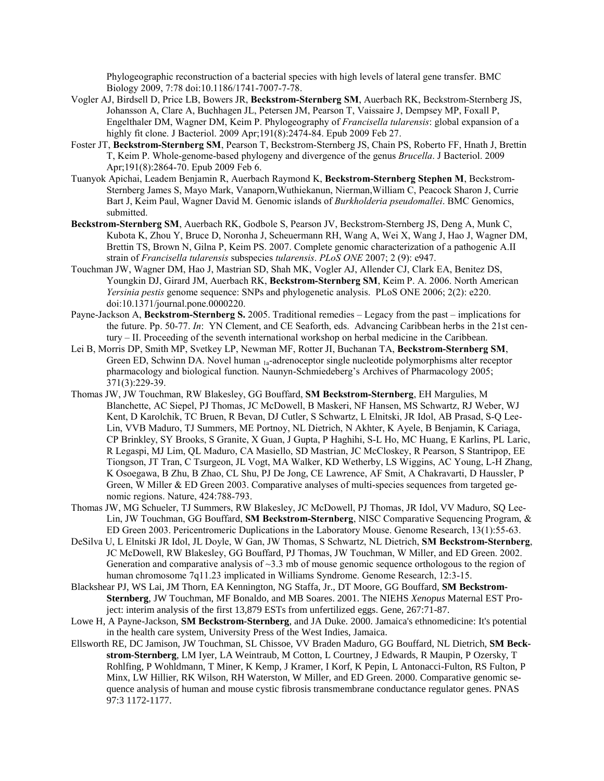Phylogeographic reconstruction of a bacterial species with high levels of lateral gene transfer. BMC Biology 2009, 7:78 doi:10.1186/1741-7007-7-78.

- Vogler AJ, Birdsell D, Price LB, Bowers JR, **Beckstrom-Sternberg SM**, Auerbach RK, Beckstrom-Sternberg JS, Johansson A, Clare A, Buchhagen JL, Petersen JM, Pearson T, Vaissaire J, Dempsey MP, Foxall P, Engelthaler DM, Wagner DM, Keim P. Phylogeography of *Francisella tularensis*: global expansion of a highly fit clone. J Bacteriol. 2009 Apr;191(8):2474-84. Epub 2009 Feb 27.
- Foster JT, **Beckstrom-Sternberg SM**, Pearson T, Beckstrom-Sternberg JS, Chain PS, Roberto FF, Hnath J, Brettin T, Keim P. Whole-genome-based phylogeny and divergence of the genus *Brucella*. J Bacteriol. 2009 Apr;191(8):2864-70. Epub 2009 Feb 6.
- Tuanyok Apichai, Leadem Benjamin R, Auerbach Raymond K, **Beckstrom-Sternberg Stephen M**, Beckstrom-Sternberg James S, Mayo Mark, Vanaporn,Wuthiekanun, Nierman,William C, Peacock Sharon J, Currie Bart J, Keim Paul, Wagner David M. Genomic islands of *Burkholderia pseudomallei*. BMC Genomics, submitted.
- **Beckstrom-Sternberg SM**, Auerbach RK, Godbole S, Pearson JV, Beckstrom-Sternberg JS, Deng A, Munk C, Kubota K, Zhou Y, Bruce D, Noronha J, Scheuermann RH, Wang A, Wei X, Wang J, Hao J, Wagner DM, Brettin TS, Brown N, Gilna P, Keim PS. 2007. Complete genomic characterization of a pathogenic A.II strain of *Francisella tularensis* subspecies *tularensis*. *PLoS ONE* 2007; 2 (9): e947.
- Touchman JW, Wagner DM, Hao J, Mastrian SD, Shah MK, Vogler AJ, Allender CJ, Clark EA, Benitez DS, Youngkin DJ, Girard JM, Auerbach RK, **Beckstrom-Sternberg SM**, Keim P. A. 2006. North American *Yersinia pestis* genome sequence: SNPs and phylogenetic analysis. PLoS ONE 2006; 2(2): e220. doi:10.1371/journal.pone.0000220.
- Payne-Jackson A, **Beckstrom-Sternberg S.** 2005. Traditional remedies Legacy from the past implications for the future. Pp. 50-77. *In*: YN Clement, and CE Seaforth, eds. Advancing Caribbean herbs in the 21st century – II. Proceeding of the seventh international workshop on herbal medicine in the Caribbean.
- Lei B, Morris DP, Smith MP, Svetkey LP, Newman MF, Rotter JI, Buchanan TA, **Beckstrom-Sternberg SM**, Green ED, Schwinn DA. Novel human <sub>1a</sub>-adrenoceptor single nucleotide polymorphisms alter receptor pharmacology and biological function. Naunyn-Schmiedeberg's Archives of Pharmacology 2005; 371(3):229-39.
- Thomas JW, JW Touchman, RW Blakesley, GG Bouffard, **SM Beckstrom-Sternberg**, EH Margulies, M Blanchette, AC Siepel, PJ Thomas, JC McDowell, B Maskeri, NF Hansen, MS Schwartz, RJ Weber, WJ Kent, D Karolchik, TC Bruen, R Bevan, DJ Cutler, S Schwartz, L Elnitski, JR Idol, AB Prasad, S-Q Lee-Lin, VVB Maduro, TJ Summers, ME Portnoy, NL Dietrich, N Akhter, K Ayele, B Benjamin, K Cariaga, CP Brinkley, SY Brooks, S Granite, X Guan, J Gupta, P Haghihi, S-L Ho, MC Huang, E Karlins, PL Laric, R Legaspi, MJ Lim, QL Maduro, CA Masiello, SD Mastrian, JC McCloskey, R Pearson, S Stantripop, EE Tiongson, JT Tran, C Tsurgeon, JL Vogt, MA Walker, KD Wetherby, LS Wiggins, AC Young, L-H Zhang, K Osoegawa, B Zhu, B Zhao, CL Shu, PJ De Jong, CE Lawrence, AF Smit, A Chakravarti, D Haussler, P Green, W Miller & ED Green 2003. Comparative analyses of multi-species sequences from targeted genomic regions. Nature, 424:788-793.
- Thomas JW, MG Schueler, TJ Summers, RW Blakesley, JC McDowell, PJ Thomas, JR Idol, VV Maduro, SQ Lee-Lin, JW Touchman, GG Bouffard, **SM Beckstrom-Sternberg**, NISC Comparative Sequencing Program, & ED Green 2003. Pericentromeric Duplications in the Laboratory Mouse. Genome Research, 13(1):55-63.
- DeSilva U, L Elnitski JR Idol, JL Doyle, W Gan, JW Thomas, S Schwartz, NL Dietrich, **SM Beckstrom-Sternberg**, JC McDowell, RW Blakesley, GG Bouffard, PJ Thomas, JW Touchman, W Miller, and ED Green. 2002. Generation and comparative analysis of  $\sim$ 3.3 mb of mouse genomic sequence orthologous to the region of human chromosome 7q11.23 implicated in Williams Syndrome. Genome Research, 12:3-15.
- Blackshear PJ, WS Lai, JM Thorn, EA Kennington, NG Staffa, Jr., DT Moore, GG Bouffard, **SM Beckstrom-Sternberg**, JW Touchman, MF Bonaldo, and MB Soares. 2001. The NIEHS *Xenopus* Maternal EST Project: interim analysis of the first 13,879 ESTs from unfertilized eggs. Gene, 267:71-87.
- Lowe H, A Payne-Jackson, **SM Beckstrom-Sternberg**, and JA Duke. 2000. Jamaica's ethnomedicine: It's potential in the health care system, University Press of the West Indies, Jamaica.
- Ellsworth RE, DC Jamison, JW Touchman, SL Chissoe, VV Braden Maduro, GG Bouffard, NL Dietrich, **SM Beckstrom-Sternberg**, LM Iyer, LA Weintraub, M Cotton, L Courtney, J Edwards, R Maupin, P Ozersky, T Rohlfing, P Wohldmann, T Miner, K Kemp, J Kramer, I Korf, K Pepin, L Antonacci-Fulton, RS Fulton, P Minx, LW Hillier, RK Wilson, RH Waterston, W Miller, and ED Green. 2000. Comparative genomic sequence analysis of human and mouse cystic fibrosis transmembrane conductance regulator genes. PNAS 97:3 1172-1177.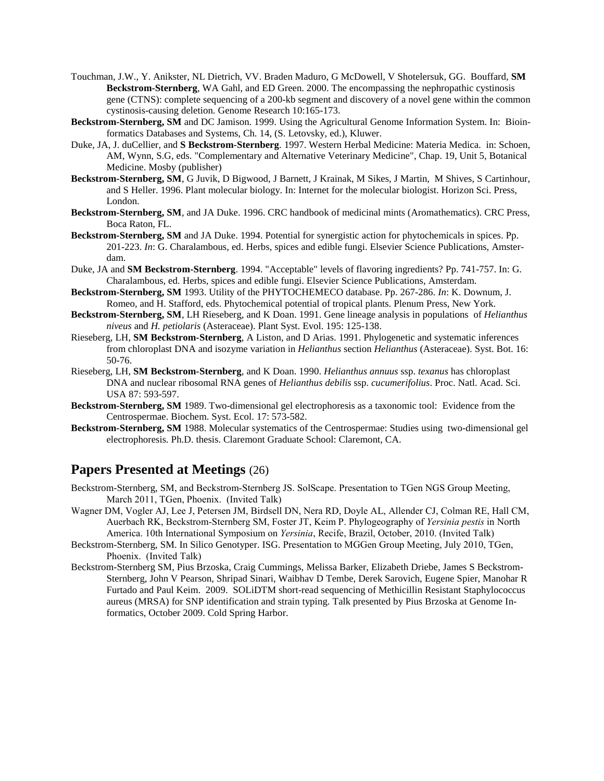- Touchman, J.W., Y. Anikster, NL Dietrich, VV. Braden Maduro, G McDowell, V Shotelersuk, GG. Bouffard, **SM Beckstrom-Sternberg**, WA Gahl, and ED Green. 2000. The encompassing the nephropathic cystinosis gene (CTNS): complete sequencing of a 200-kb segment and discovery of a novel gene within the common cystinosis-causing deletion. Genome Research 10:165-173.
- **Beckstrom-Sternberg, SM** and DC Jamison. 1999. Using the Agricultural Genome Information System. In: Bioinformatics Databases and Systems, Ch. 14, (S. Letovsky, ed.), Kluwer.
- Duke, JA, J. duCellier, and **S Beckstrom-Sternberg**. 1997. Western Herbal Medicine: Materia Medica. in: Schoen, AM, Wynn, S.G, eds. "Complementary and Alternative Veterinary Medicine", Chap. 19, Unit 5, Botanical Medicine. Mosby (publisher)
- **Beckstrom-Sternberg, SM**, G Juvik, D Bigwood, J Barnett, J Krainak, M Sikes, J Martin, M Shives, S Cartinhour, and S Heller. 1996. Plant molecular biology. In: Internet for the molecular biologist. Horizon Sci. Press, London.
- **Beckstrom-Sternberg, SM**, and JA Duke. 1996. CRC handbook of medicinal mints (Aromathematics). CRC Press, Boca Raton, FL.
- **Beckstrom-Sternberg, SM** and JA Duke. 1994. Potential for synergistic action for phytochemicals in spices. Pp. 201-223. *In*: G. Charalambous, ed. Herbs, spices and edible fungi. Elsevier Science Publications, Amsterdam.
- Duke, JA and **SM Beckstrom-Sternberg**. 1994. "Acceptable" levels of flavoring ingredients? Pp. 741-757. In: G. Charalambous, ed. Herbs, spices and edible fungi. Elsevier Science Publications, Amsterdam.
- **Beckstrom-Sternberg, SM** 1993. Utility of the PHYTOCHEMECO database. Pp. 267-286. *In*: K. Downum, J. Romeo, and H. Stafford, eds. Phytochemical potential of tropical plants. Plenum Press, New York.
- **Beckstrom-Sternberg, SM**, LH Rieseberg, and K Doan. 1991. Gene lineage analysis in populations of *Helianthus niveus* and *H. petiolaris* (Asteraceae). Plant Syst. Evol. 195: 125-138.
- Rieseberg, LH, **SM Beckstrom-Sternberg**, A Liston, and D Arias. 1991. Phylogenetic and systematic inferences from chloroplast DNA and isozyme variation in *Helianthus* section *Helianthus* (Asteraceae). Syst. Bot. 16: 50-76.
- Rieseberg, LH, **SM Beckstrom-Sternberg**, and K Doan. 1990. *Helianthus annuus* ssp. *texanus* has chloroplast DNA and nuclear ribosomal RNA genes of *Helianthus debilis* ssp. *cucumerifolius*. Proc. Natl. Acad. Sci. USA 87: 593-597.
- **Beckstrom-Sternberg, SM** 1989. Two-dimensional gel electrophoresis as a taxonomic tool: Evidence from the Centrospermae. Biochem. Syst. Ecol. 17: 573-582.
- **Beckstrom-Sternberg, SM** 1988. Molecular systematics of the Centrospermae: Studies using two-dimensional gel electrophoresis. Ph.D. thesis. Claremont Graduate School: Claremont, CA.

## **Papers Presented at Meetings** (26)

- Beckstrom-Sternberg, SM, and Beckstrom-Sternberg JS. SolScape. Presentation to TGen NGS Group Meeting, March 2011, TGen, Phoenix. (Invited Talk)
- Wagner DM, Vogler AJ, Lee J, Petersen JM, Birdsell DN, Nera RD, Doyle AL, Allender CJ, Colman RE, Hall CM, Auerbach RK, Beckstrom-Sternberg SM, Foster JT, Keim P. Phylogeography of *Yersinia pestis* in North America. 10th International Symposium on *Yersinia*, Recife, Brazil, October, 2010. (Invited Talk)
- Beckstrom-Sternberg, SM. In Silico Genotyper. ISG. Presentation to MGGen Group Meeting, July 2010, TGen, Phoenix. (Invited Talk)
- Beckstrom-Sternberg SM, Pius Brzoska, Craig Cummings, Melissa Barker, Elizabeth Driebe, James S Beckstrom-Sternberg, John V Pearson, Shripad Sinari, Waibhav D Tembe, Derek Sarovich, Eugene Spier, Manohar R Furtado and Paul Keim. 2009. SOLiDTM short-read sequencing of Methicillin Resistant Staphylococcus aureus (MRSA) for SNP identification and strain typing. Talk presented by Pius Brzoska at Genome Informatics, October 2009. Cold Spring Harbor.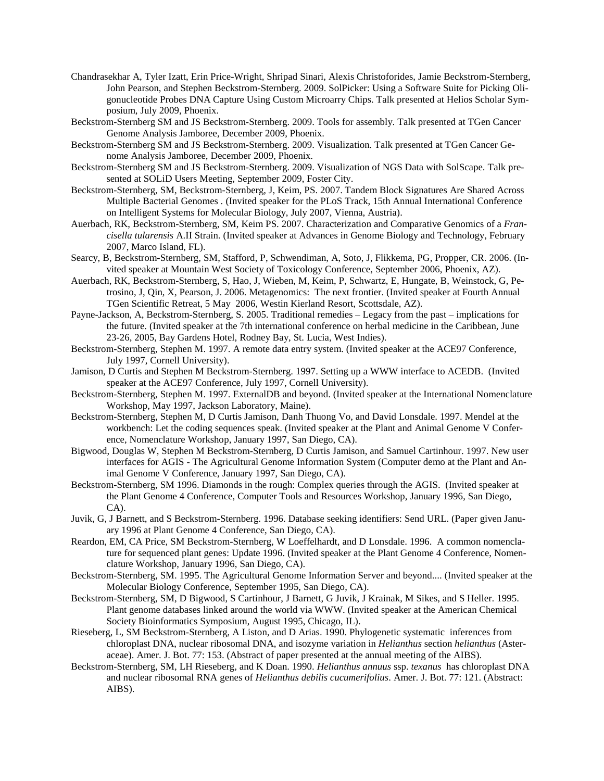- Chandrasekhar A, Tyler Izatt, Erin Price-Wright, Shripad Sinari, Alexis Christoforides, Jamie Beckstrom-Sternberg, John Pearson, and Stephen Beckstrom-Sternberg. 2009. SolPicker: Using a Software Suite for Picking Oligonucleotide Probes DNA Capture Using Custom Microarry Chips. Talk presented at Helios Scholar Symposium, July 2009, Phoenix.
- Beckstrom-Sternberg SM and JS Beckstrom-Sternberg. 2009. Tools for assembly. Talk presented at TGen Cancer Genome Analysis Jamboree, December 2009, Phoenix.
- Beckstrom-Sternberg SM and JS Beckstrom-Sternberg. 2009. Visualization. Talk presented at TGen Cancer Genome Analysis Jamboree, December 2009, Phoenix.
- Beckstrom-Sternberg SM and JS Beckstrom-Sternberg. 2009. Visualization of NGS Data with SolScape. Talk presented at SOLiD Users Meeting, September 2009, Foster City.
- Beckstrom-Sternberg, SM, Beckstrom-Sternberg, J, Keim, PS. 2007. Tandem Block Signatures Are Shared Across Multiple Bacterial Genomes . (Invited speaker for the PLoS Track, 15th Annual International Conference on Intelligent Systems for Molecular Biology, July 2007, Vienna, Austria).
- Auerbach, RK, Beckstrom-Sternberg, SM, Keim PS. 2007. Characterization and Comparative Genomics of a *Francisella tularensis* A.II Strain. (Invited speaker at Advances in Genome Biology and Technology, February 2007, Marco Island, FL).
- Searcy, B, Beckstrom-Sternberg, SM, Stafford, P, Schwendiman, A, Soto, J, Flikkema, PG, Propper, CR. 2006. (Invited speaker at Mountain West Society of Toxicology Conference, September 2006, Phoenix, AZ).
- Auerbach, RK, Beckstrom-Sternberg, S, Hao, J, Wieben, M, Keim, P, Schwartz, E, Hungate, B, Weinstock, G, Petrosino, J, Qin, X, Pearson, J. 2006. Metagenomics: The next frontier. (Invited speaker at Fourth Annual TGen Scientific Retreat, 5 May 2006, Westin Kierland Resort, Scottsdale, AZ).
- Payne-Jackson, A, Beckstrom-Sternberg, S. 2005. Traditional remedies Legacy from the past implications for the future. (Invited speaker at the 7th international conference on herbal medicine in the Caribbean, June 23-26, 2005, Bay Gardens Hotel, Rodney Bay, St. Lucia, West Indies).
- Beckstrom-Sternberg, Stephen M. 1997. A remote data entry system. (Invited speaker at the ACE97 Conference, July 1997, Cornell University).
- Jamison, D Curtis and Stephen M Beckstrom-Sternberg. 1997. Setting up a WWW interface to ACEDB. (Invited speaker at the ACE97 Conference, July 1997, Cornell University).
- Beckstrom-Sternberg, Stephen M. 1997. ExternalDB and beyond. (Invited speaker at the International Nomenclature Workshop, May 1997, Jackson Laboratory, Maine).
- Beckstrom-Sternberg, Stephen M, D Curtis Jamison, Danh Thuong Vo, and David Lonsdale. 1997. Mendel at the workbench: Let the coding sequences speak. (Invited speaker at the Plant and Animal Genome V Conference, Nomenclature Workshop, January 1997, San Diego, CA).
- Bigwood, Douglas W, Stephen M Beckstrom-Sternberg, D Curtis Jamison, and Samuel Cartinhour. 1997. New user interfaces for AGIS - The Agricultural Genome Information System (Computer demo at the Plant and Animal Genome V Conference, January 1997, San Diego, CA).
- Beckstrom-Sternberg, SM 1996. Diamonds in the rough: Complex queries through the AGIS. (Invited speaker at the Plant Genome 4 Conference, Computer Tools and Resources Workshop, January 1996, San Diego, CA).
- Juvik, G, J Barnett, and S Beckstrom-Sternberg. 1996. Database seeking identifiers: Send URL. (Paper given January 1996 at Plant Genome 4 Conference, San Diego, CA).
- Reardon, EM, CA Price, SM Beckstrom-Sternberg, W Loeffelhardt, and D Lonsdale. 1996. A common nomenclature for sequenced plant genes: Update 1996. (Invited speaker at the Plant Genome 4 Conference, Nomenclature Workshop, January 1996, San Diego, CA).
- Beckstrom-Sternberg, SM. 1995. The Agricultural Genome Information Server and beyond.... (Invited speaker at the Molecular Biology Conference, September 1995, San Diego, CA).
- Beckstrom-Sternberg, SM, D Bigwood, S Cartinhour, J Barnett, G Juvik, J Krainak, M Sikes, and S Heller. 1995. Plant genome databases linked around the world via WWW. (Invited speaker at the American Chemical Society Bioinformatics Symposium, August 1995, Chicago, IL).
- Rieseberg, L, SM Beckstrom-Sternberg, A Liston, and D Arias. 1990. Phylogenetic systematic inferences from chloroplast DNA, nuclear ribosomal DNA, and isozyme variation in *Helianthus* section *helianthus* (Asteraceae). Amer. J. Bot. 77: 153. (Abstract of paper presented at the annual meeting of the AIBS).
- Beckstrom-Sternberg, SM, LH Rieseberg, and K Doan. 1990. *Helianthus annuus* ssp. *texanus* has chloroplast DNA and nuclear ribosomal RNA genes of *Helianthus debilis cucumerifolius*. Amer. J. Bot. 77: 121. (Abstract: AIBS).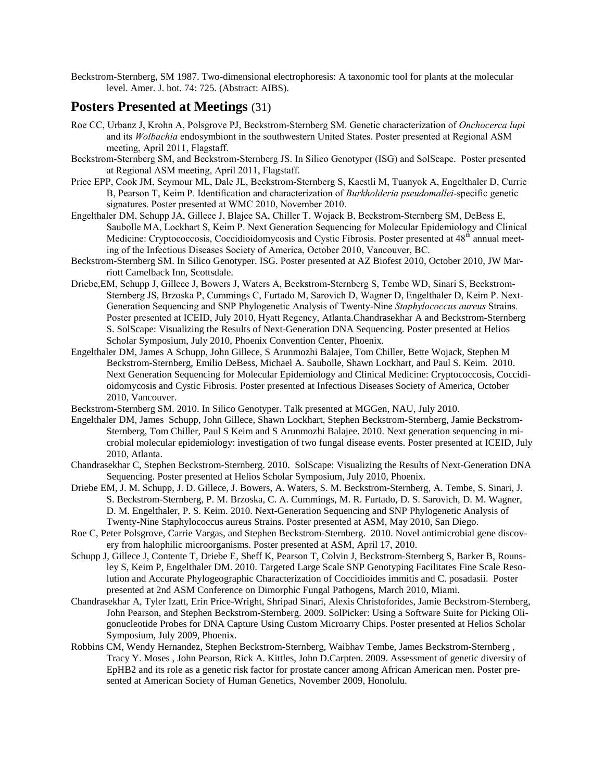Beckstrom-Sternberg, SM 1987. Two-dimensional electrophoresis: A taxonomic tool for plants at the molecular level. Amer. J. bot. 74: 725. (Abstract: AIBS).

#### **Posters Presented at Meetings** (31)

- Roe CC, Urbanz J, Krohn A, Polsgrove PJ, Beckstrom-Sternberg SM. Genetic characterization of *Onchocerca lupi* and its *Wolbachia* endosymbiont in the southwestern United States. Poster presented at Regional ASM meeting, April 2011, Flagstaff.
- Beckstrom-Sternberg SM, and Beckstrom-Sternberg JS. In Silico Genotyper (ISG) and SolScape. Poster presented at Regional ASM meeting, April 2011, Flagstaff.
- Price EPP, Cook JM, Seymour ML, Dale JL, Beckstrom-Sternberg S, Kaestli M, Tuanyok A, Engelthaler D, Currie B, Pearson T, Keim P. Identification and characterization of *Burkholderia pseudomallei*-specific genetic signatures. Poster presented at WMC 2010, November 2010.
- Engelthaler DM, Schupp JA, Gillece J, Blajee SA, Chiller T, Wojack B, Beckstrom-Sternberg SM, DeBess E, Saubolle MA, Lockhart S, Keim P. Next Generation Sequencing for Molecular Epidemiology and Clinical Medicine: Cryptococcosis, Coccidioidomycosis and Cystic Fibrosis. Poster presented at 48<sup>th</sup> annual meeting of the Infectious Diseases Society of America, October 2010, Vancouver, BC.
- Beckstrom-Sternberg SM. In Silico Genotyper. ISG. Poster presented at AZ Biofest 2010, October 2010, JW Marriott Camelback Inn, Scottsdale.
- Driebe,EM, Schupp J, Gillece J, Bowers J, Waters A, Beckstrom-Sternberg S, Tembe WD, Sinari S, Beckstrom-Sternberg JS, Brzoska P, Cummings C, Furtado M, Sarovich D, Wagner D, Engelthaler D, Keim P. Next-Generation Sequencing and SNP Phylogenetic Analysis of Twenty-Nine *Staphylococcus aureus* Strains. Poster presented at ICEID, July 2010, Hyatt Regency, Atlanta.Chandrasekhar A and Beckstrom-Sternberg S. SolScape: Visualizing the Results of Next-Generation DNA Sequencing. Poster presented at Helios Scholar Symposium, July 2010, Phoenix Convention Center, Phoenix.
- Engelthaler DM, James A Schupp, John Gillece, S Arunmozhi Balajee, Tom Chiller, Bette Wojack, Stephen M Beckstrom-Sternberg, Emilio DeBess, Michael A. Saubolle, Shawn Lockhart, and Paul S. Keim. 2010. Next Generation Sequencing for Molecular Epidemiology and Clinical Medicine: Cryptococcosis, Coccidioidomycosis and Cystic Fibrosis. Poster presented at Infectious Diseases Society of America, October 2010, Vancouver.
- Beckstrom-Sternberg SM. 2010. In Silico Genotyper. Talk presented at MGGen, NAU, July 2010.
- Engelthaler DM, James Schupp, John Gillece, Shawn Lockhart, Stephen Beckstrom-Sternberg, Jamie Beckstrom-Sternberg, Tom Chiller, Paul S Keim and S Arunmozhi Balajee. 2010. Next generation sequencing in microbial molecular epidemiology: investigation of two fungal disease events. Poster presented at ICEID, July 2010, Atlanta.
- Chandrasekhar C, Stephen Beckstrom-Sternberg. 2010. SolScape: Visualizing the Results of Next-Generation DNA Sequencing. Poster presented at Helios Scholar Symposium, July 2010, Phoenix.
- Driebe EM, J. M. Schupp, J. D. Gillece, J. Bowers, A. Waters, S. M. Beckstrom-Sternberg, A. Tembe, S. Sinari, J. S. Beckstrom-Sternberg, P. M. Brzoska, C. A. Cummings, M. R. Furtado, D. S. Sarovich, D. M. Wagner, D. M. Engelthaler, P. S. Keim. 2010. Next-Generation Sequencing and SNP Phylogenetic Analysis of Twenty-Nine Staphylococcus aureus Strains. Poster presented at ASM, May 2010, San Diego.
- Roe C, Peter Polsgrove, Carrie Vargas, and Stephen Beckstrom-Sternberg. 2010. Novel antimicrobial gene discovery from halophilic microorganisms. Poster presented at ASM, April 17, 2010.
- Schupp J, Gillece J, Contente T, Driebe E, Sheff K, Pearson T, Colvin J, Beckstrom-Sternberg S, Barker B, Rounsley S, Keim P, Engelthaler DM. 2010. Targeted Large Scale SNP Genotyping Facilitates Fine Scale Resolution and Accurate Phylogeographic Characterization of Coccidioides immitis and C. posadasii. Poster presented at 2nd ASM Conference on Dimorphic Fungal Pathogens, March 2010, Miami.
- Chandrasekhar A, Tyler Izatt, Erin Price-Wright, Shripad Sinari, Alexis Christoforides, Jamie Beckstrom-Sternberg, John Pearson, and Stephen Beckstrom-Sternberg. 2009. SolPicker: Using a Software Suite for Picking Oligonucleotide Probes for DNA Capture Using Custom Microarry Chips. Poster presented at Helios Scholar Symposium, July 2009, Phoenix.
- Robbins CM, Wendy Hernandez, Stephen Beckstrom-Sternberg, Waibhav Tembe, James Beckstrom-Sternberg , Tracy Y. Moses , John Pearson, Rick A. Kittles, John D.Carpten. 2009. Assessment of genetic diversity of EpHB2 and its role as a genetic risk factor for prostate cancer among African American men. Poster presented at American Society of Human Genetics, November 2009, Honolulu.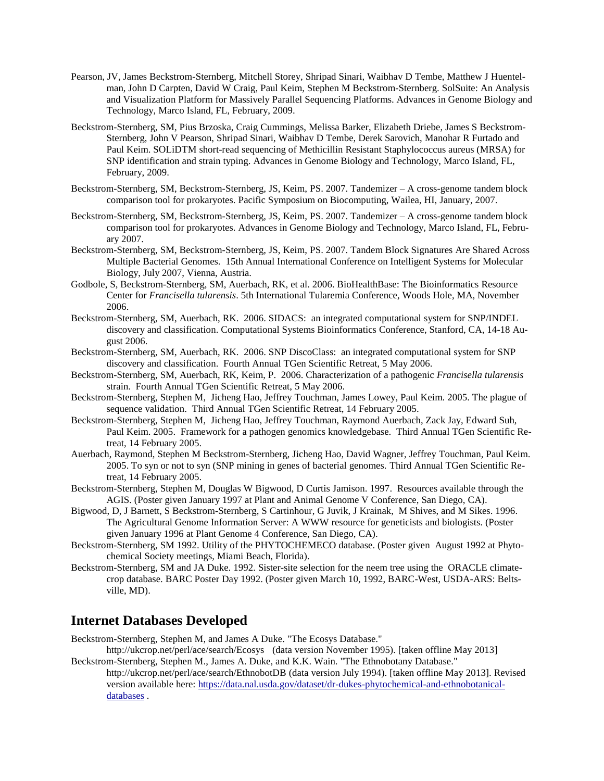- Pearson, JV, James Beckstrom-Sternberg, Mitchell Storey, Shripad Sinari, Waibhav D Tembe, Matthew J Huentelman, John D Carpten, David W Craig, Paul Keim, Stephen M Beckstrom-Sternberg. SolSuite: An Analysis and Visualization Platform for Massively Parallel Sequencing Platforms. Advances in Genome Biology and Technology, Marco Island, FL, February, 2009.
- Beckstrom-Sternberg, SM, Pius Brzoska, Craig Cummings, Melissa Barker, Elizabeth Driebe, James S Beckstrom-Sternberg, John V Pearson, Shripad Sinari, Waibhav D Tembe, Derek Sarovich, Manohar R Furtado and Paul Keim. SOLiDTM short-read sequencing of Methicillin Resistant Staphylococcus aureus (MRSA) for SNP identification and strain typing. Advances in Genome Biology and Technology, Marco Island, FL, February, 2009.
- Beckstrom-Sternberg, SM, Beckstrom-Sternberg, JS, Keim, PS. 2007. Tandemizer A cross-genome tandem block comparison tool for prokaryotes. Pacific Symposium on Biocomputing, Wailea, HI, January, 2007.
- Beckstrom-Sternberg, SM, Beckstrom-Sternberg, JS, Keim, PS. 2007. Tandemizer A cross-genome tandem block comparison tool for prokaryotes. Advances in Genome Biology and Technology, Marco Island, FL, February 2007.
- Beckstrom-Sternberg, SM, Beckstrom-Sternberg, JS, Keim, PS. 2007. Tandem Block Signatures Are Shared Across Multiple Bacterial Genomes. 15th Annual International Conference on Intelligent Systems for Molecular Biology, July 2007, Vienna, Austria.
- Godbole, S, Beckstrom-Sternberg, SM, Auerbach, RK, et al. 2006. BioHealthBase: The Bioinformatics Resource Center for *Francisella tularensis*. 5th International Tularemia Conference, Woods Hole, MA, November 2006.
- Beckstrom-Sternberg, SM, Auerbach, RK. 2006. SIDACS: an integrated computational system for SNP/INDEL discovery and classification. Computational Systems Bioinformatics Conference, Stanford, CA, 14-18 August 2006.
- Beckstrom-Sternberg, SM, Auerbach, RK. 2006. SNP DiscoClass: an integrated computational system for SNP discovery and classification. Fourth Annual TGen Scientific Retreat, 5 May 2006.
- Beckstrom-Sternberg, SM, Auerbach, RK, Keim, P. 2006. Characterization of a pathogenic *Francisella tularensis* strain. Fourth Annual TGen Scientific Retreat, 5 May 2006.
- Beckstrom-Sternberg, Stephen M, Jicheng Hao, Jeffrey Touchman, James Lowey, Paul Keim. 2005. The plague of sequence validation. Third Annual TGen Scientific Retreat, 14 February 2005.
- Beckstrom-Sternberg, Stephen M, Jicheng Hao, Jeffrey Touchman, Raymond Auerbach, Zack Jay, Edward Suh, Paul Keim. 2005. Framework for a pathogen genomics knowledgebase. Third Annual TGen Scientific Retreat, 14 February 2005.
- Auerbach, Raymond, Stephen M Beckstrom-Sternberg, Jicheng Hao, David Wagner, Jeffrey Touchman, Paul Keim. 2005. To syn or not to syn (SNP mining in genes of bacterial genomes. Third Annual TGen Scientific Retreat, 14 February 2005.
- Beckstrom-Sternberg, Stephen M, Douglas W Bigwood, D Curtis Jamison. 1997. Resources available through the AGIS. (Poster given January 1997 at Plant and Animal Genome V Conference, San Diego, CA).
- Bigwood, D, J Barnett, S Beckstrom-Sternberg, S Cartinhour, G Juvik, J Krainak, M Shives, and M Sikes. 1996. The Agricultural Genome Information Server: A WWW resource for geneticists and biologists. (Poster given January 1996 at Plant Genome 4 Conference, San Diego, CA).
- Beckstrom-Sternberg, SM 1992. Utility of the PHYTOCHEMECO database. (Poster given August 1992 at Phytochemical Society meetings, Miami Beach, Florida).
- Beckstrom-Sternberg, SM and JA Duke. 1992. Sister-site selection for the neem tree using the ORACLE climatecrop database. BARC Poster Day 1992. (Poster given March 10, 1992, BARC-West, USDA-ARS: Beltsville, MD).

## **Internet Databases Developed**

Beckstrom-Sternberg, Stephen M, and James A Duke. "The Ecosys Database."

- http://ukcrop.net/perl/ace/search/Ecosys (data version November 1995). [taken offline May 2013] Beckstrom-Sternberg, Stephen M., James A. Duke, and K.K. Wain. "The Ethnobotany Database."
	- http://ukcrop.net/perl/ace/search/EthnobotDB (data version July 1994). [taken offline May 2013]. Revised version available here: [https://data.nal.usda.gov/dataset/dr-dukes-phytochemical-and-ethnobotanical](https://data.nal.usda.gov/dataset/dr-dukes-phytochemical-and-ethnobotanical-databases)[databases](https://data.nal.usda.gov/dataset/dr-dukes-phytochemical-and-ethnobotanical-databases) .